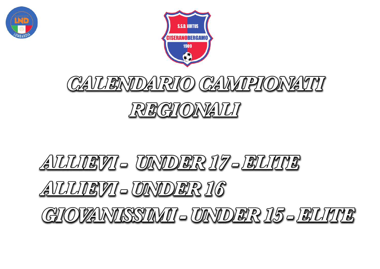



## CAVLENDAVRIO CAVVIPIONATII REGIONAILI

## AILILIEVI - UNDER 17-ELIUIS AILILIEVI-UNDER 16 GIOVANISSIMI – UNDER 15 – EUVE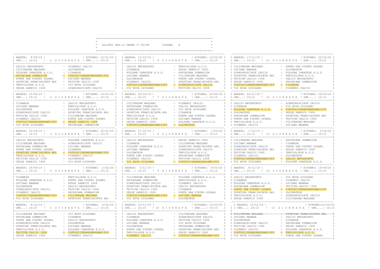ALLIEVI REG.LI UNDER 17 ELITE GIRONE: B

 $\Delta \omega$ 

\_\_\_\_\_\_\_\_\_\_\_\_\_\_\_\_\_\_\_\_\_ ! RITORNO: 22/03/20 I

| ANDATA: 8/09/19 !                                                                                                                                                                                                                                                                                                                                                                                     | ! RITORNO: 12/01/20 I I ANDATA: 13/10/19 !<br>! RITORNO: 16/02/20 I I ANDATA: 17/11/19 !<br>ORE: 10:15 ! 1 GIORNATA ! ORE: 10:15 I I ORE: 10:15 ! 6 GIORNATA ! ORE: 10:15 I I ORE: 10:15 ! 11 GIORNATA ! ORE: 10:15                                                                                                                                                                                                                                                                                                                                                                                                                                                   | ! RITORNO: 22/03/20 I                                                                                                                                                                                                                                                                                                                                                                                                 |
|-------------------------------------------------------------------------------------------------------------------------------------------------------------------------------------------------------------------------------------------------------------------------------------------------------------------------------------------------------------------------------------------------------|-----------------------------------------------------------------------------------------------------------------------------------------------------------------------------------------------------------------------------------------------------------------------------------------------------------------------------------------------------------------------------------------------------------------------------------------------------------------------------------------------------------------------------------------------------------------------------------------------------------------------------------------------------------------------|-----------------------------------------------------------------------------------------------------------------------------------------------------------------------------------------------------------------------------------------------------------------------------------------------------------------------------------------------------------------------------------------------------------------------|
| - VIGHENZI CALCIO<br>CALCIO BRUSAPORTO<br>- OLGINATESE<br>CILIVERGHE MAZZANO<br>$-$ CISANESE<br>FOLGORE CARATESE A.S.D.<br>- VIRTUSCISERANOBERGAMO1909<br>PAVONIANA GYMNASIUM<br>- LUCIANO MANARA<br>PONTE SAN PIETRO SSDARL<br>- TRITIUM CALCIO 1908<br>SPORTING FRANCIACORTA ARL<br>I TREVIGLIESE A.S.D.<br>- VIS NOVA GIUSSANO<br>- SCANZOROSCIATE CALCIO<br>UESSE SARNICO 1908                    | - TREVIGLIESE A.S.D.<br>I CALCIO BRUSAPORTO<br>I I CISANESE<br>- UESSE SARNICO 1908<br>I I FOLGORE CARATESE A.S.D.<br>- PAVONIANA GYMNASIUM<br>T T TJUCTANO MANARA<br>- CILIVERGHE MAZZANO<br>I I OLGINATESE<br>- PONTE SAN PIETRO SSDARL<br>I I VIGHENZI CALCIO<br>- SPORTING FRANCIACORTA ARL I I UESSE SARNICO 1908<br>I I VIRTUSCISERANOBERGAMO1909<br>- SCANZOROSCIATE CALCIO<br>I I VIS NOVA GIUSSANO<br>- TRITIUM CALCIO 1908                                                                                                                                                                                                                                  | - PONTE SAN PIETRO SSDARL<br>I I CILIVERGHE MAZZANO<br>I I LUCIANO MANARA<br>- OLGINATESE<br>- FOLGORE CARATESE A.S.D.<br>I I SCANZOROSCIATE CALCIO<br>I I SPORTING FRANCIACORTA ARL<br>- TREVIGLIESE A.S.D.<br>I I TRITIUM CALCIO 1908<br>- CALCIO BRUSAPORTO<br>- PAVONIANA GYMNASIUM<br>- CISANESE<br>I I VIRTUSCISERANOBERGAMO1909<br>- VIGHENZI CALCIO<br>T T VTS NOVA GTUSSANO                                  |
| ANDATA: $15/09/19$ ! (RITORNO: $19/01/20$ I ANDATA: $20/10/19$ !                                                                                                                                                                                                                                                                                                                                      | ORE: 10:15 ! 2 GIORNATA ! ORE: 10:15 I IORE: 10:15 ! 7 GIORNATA ! ORE: 10:15 I IORE: 10:15 ! 12 GIORNATA ! ORE: 10:15                                                                                                                                                                                                                                                                                                                                                                                                                                                                                                                                                 | ! RITORNO: 23/02/20 I I ANDATA: 24/11/19 !<br>! RITORNO: 29/03/20 I                                                                                                                                                                                                                                                                                                                                                   |
| - CALCIO BRUSAPORTO<br>CISANESE<br>- TREVIGLIESE A.S.D.<br>LUCIANO MANARA<br>OLGINATESE<br>- FOLGORE CARATESE A.S.D.<br>SCANZOROSCIATE CALCIO<br>- SPORTING FRANCIACORTA ARL<br>- CILIVERGHE MAZZANO<br>TRITIUM CALCIO 1908<br>- PONTE SAN PIETRO SSDARL<br>VIGHENZI CALCIO<br>- UESSE SARNICO 1908<br>VIRTUSCISERANOBERGAMO1909<br>VIS NOVA GIUSSANO<br>- PAVONIANA GYMNASIUM                        | I CILIVERGHE MAZZANO<br>- VIGHENZI CALCIO<br>I I PAVONIANA GYMNASIUM<br>- CALCIO BRUSAPORTO<br>I I SCANZOROSCIATE CALCIO<br>- VIS NOVA GIUSSANO<br>I I SPORTING FRANCIACORTA ARL<br>- CISANESE<br>I I TREVIGLIESE A.S.D.<br>- PONTE SAN PIETRO SSDARL<br>I I TRITIUM CALCIO 1908<br>- LUCIANO MANARA<br>I I UESSE SARNICO 1908<br>- FOLGORE CARATESE A.S.D.<br>I I VIRTUSCISERANOBERGAMO1909 (- OLGINATESE                                                                                                                                                                                                                                                            | I CALCIO BRUSAPORTO<br>- SCANZOROSCIATE CALCIO<br>I I CISANESE<br>- VIS NOVA GIUSSANO<br>- VIRTUSCISERANOBERGAMO1909<br>I I FOLGORE CARATESE A.S.D.<br>- UESSE SARNICO 1908<br>I I OLGINATESE<br>- SPORTING FRANCIACORTA ARL<br>I I PAVONIANA GYMNASIUM<br>I I PONTE SAN PIETRO SSDARL<br>- TRITIUM CALCIO 1908<br>- CILIVERGHE MAZZANO<br>I I TREVIGLIESE A.S.D.<br>I I VIGHENZI CALCIO<br>- LUCIANO MANARA          |
| ! RITORNO: 26/01/20 I I ANDATA: 27/10/19 !<br>ANDATA: 22/09/19 !<br>ORE: 10:15 ! 3 GIORNATA ! ORE: 10:15                                                                                                                                                                                                                                                                                              | ! RITORNO: 1/03/20 I I ANDATA: 1/12/19 !<br>I I ORE: 10:15 ! 8 G I OR N A T A ! ORE: 10:15                                                                                                                                                                                                                                                                                                                                                                                                                                                                                                                                                                            | ! RITORNO: 5/04/20 I<br>I I ORE: 10:15 ! 13 G I OR N A T A ! ORE: 10:15                                                                                                                                                                                                                                                                                                                                               |
| - FOLGORE CARATESE A.S.D.<br>CALCIO BRUSAPORTO<br>- SCANZOROSCIATE CALCIO<br>CILIVERGHE MAZZANO<br>- LUCIANO MANARA<br>PAVONIANA GYMNASIUM<br>$-$ CTSANESE<br>PONTE SAN PIETRO SSDARL<br>VIRTUSCISERANOBERGAMO1909<br>SPORTING FRANCIACORTA ARL<br>- VIGHENZI CALCIO<br>TREVIGLIESE A.S.D.<br>- OLGINATESE<br>TRITIUM CALCIO 1908<br>- VIS NOVA GIUSSANO II I VIS NOVA GIUSSANO<br>UESSE SARNICO 1908 | - UESSE SARNICO 1908<br>I I CALCIO BRUSAPORTO<br>I I CISANESE<br>- CILIVERGHE MAZZANO<br>I I FOLGORE CARATESE A.S.D.<br>- SPORTING FRANCIACORTA ARL I I SCANZOROSCIATE CALCIO<br>I I LUCIANO MANARA<br>- SCANZOROSCIATE CALCIO<br>I I OLGINATESE<br>- TREVIGLIESE A.S.D.<br>I I PONTE SAN PIETRO SSDARL<br>- PAVONIANA GYMNASIUM<br>I I VIGHENZI CALCIO<br>- TRITIUM CALCIO 1908<br>- VIRTUSCISERANOBERGAMO1909 I I VIS NOVA GIUSSANO                                                                                                                                                                                                                                 | I I CILIVERGHE MAZZANO<br>- PAVONIANA GYMNASIUM<br>I I LUCIANO MANARA<br>- CISANESE<br>- PONTE SAN PIETRO SSDARL<br>I I SPORTING FRANCIACORTA ARL<br>- UESSE SARNICO 1908<br>I TRITIUM CALCIO 1908<br>- TREVIGLIESE A.S.D.<br>I I VIGHENZI CALCIO<br>- OLGINATESE<br>- CALCIO BRUSAPORTO<br>I I VIRTUSCISERANOBERGAMO1909<br>- FOLGORE CARATESE A.S.D.                                                                |
|                                                                                                                                                                                                                                                                                                                                                                                                       | .<br>2007 1992 1993 1994/20 1 2008 1994/20 2010 11:00 10:00 10:00 10:00 10:00 10:00 10:00 10:00 10:00 10:00 10:00 1<br>ORE: 10:15 ! 4 GIORNATA ! ORE: 10:15 I IORE: 10:15 ! 9 GIORNATA ! ORE: 10:15 I IORE: 10:15 ! 14 GIORNATA ! ORE: 10:15                                                                                                                                                                                                                                                                                                                                                                                                                          |                                                                                                                                                                                                                                                                                                                                                                                                                       |
| CISANESE<br>- TREVIGLIESE A.S.D.<br>- PONTE SAN PIETRO SSDARL<br>FOLGORE CARATESE A.S.D.<br>- UESSE SARNICO 1908<br>LUCIANO MANARA<br>- CALCIO BRUSAPORTO<br>OLGINATESE<br>SCANZOROSCIATE CALCIO<br>- TRITIUM CALCIO 1908<br>- PAVONIANA GYMNASIUM<br>VIGHENZI CALCIO<br>- CILIVERGHE MAZZANO<br>VIRTUSCISERANOBERGAMO1909<br>VIS NOVA GIUSSANO<br>- SPORTING FRANCIACORTA ARL I I VIS NOVA GIUSSANO  | I I CILIVERGHE MAZZANO<br>- FOLGORE CARATESE A.S.D.<br>I I PAVONIANA GYMNASIUM<br>- TREVIGLIESE A.S.D.<br>I I SCANZOROSCIATE CALCIO<br>- VIGHENZI CALCIO<br>I I SPORTING FRANCIACORTA ARL<br>- CALCIO BRUSAPORTO<br>$ CISANESE$<br>I I TRITIUM CALCIO 1908<br>I I UESSE SARNICO 1908<br>- PONTE SAN PIETRO SSDARL<br>- LUCIANO MANARA<br>I I VIRTUSCISERANOBERGAMO1909<br>- OLGINATESE                                                                                                                                                                                                                                                                                | I I CALCIO BRUSAPORTO<br>- VIS NOVA GIUSSANO<br>I I CISANESE<br>- VIGHENZI CALCIO<br>I I FOLGORE CARATESE A.S.D.<br>- LUCIANO MANARA<br>I I PAVONIANA GYMNASIUM<br>- TRITIUM CALCIO 1908<br>- VIRTUSCISERANOBERGAMO1909<br>I I PONTE SAN PIETRO SSDARL<br>I I SPORTING FRANCIACORTA ARL<br>- OLGINATESE<br>- SCANZOROSCIATE CALCIO<br>I I TREVIGLIESE A.S.D.<br>I I UESSE SARNICO 1908<br>- CILIVERGHE MAZZANO        |
|                                                                                                                                                                                                                                                                                                                                                                                                       | ! RITORNO: 9/02/20 I I ANDATA: 10/11/19 !<br>! RITORNO: 15/03/20 I . I ANDATA: 15/12/19 !<br>ORE: 10:15 ! 5 GIORNATA ! ORE: 10:15 I IORE: 10:15 ! 10 GIORNATA ! ORE: 10:15 I IORE: 10:15 ! 15 GIORNATA ! ORE: 10:15<br>$\mathbb{T}_{\mathbb{Z}} = \mathbb{Z} \cup \mathbb{Z} = \mathbb{Z} \cup \mathbb{Z} = \mathbb{Z} \cup \mathbb{Z} = \mathbb{Z} \cup \mathbb{Z} = \mathbb{Z} \cup \mathbb{Z} = \mathbb{Z} \cup \mathbb{Z} = \mathbb{Z} \cup \mathbb{Z} = \mathbb{Z} \cup \mathbb{Z} = \mathbb{Z} \cup \mathbb{Z} = \mathbb{Z} \cup \mathbb{Z} = \mathbb{Z} \cup \mathbb{Z} = \mathbb{Z} \cup \mathbb{Z} = \mathbb{Z} \cup \mathbb{Z} = \mathbb{Z} \cup \mathbb{Z$ | ! RITORNO: 03/05/20<br>T                                                                                                                                                                                                                                                                                                                                                                                              |
| - VIS NOVA GIUSSANO<br>CILIVERGHE MAZZANO<br>$-CISANESE$<br>PAVONIANA GYMNASIUM<br>- CALCIO BRUSAPORTO<br>PONTE SAN PIETRO SSDARL<br>- OLGINATESE<br>SCANZOROSCIATE CALCIO<br>- LUCIANO MANARA<br>SPORTING FRANCIACORTA ARL<br>TREVIGLIESE A.S.D.<br>- FOLGORE CARATESE A.S.D.<br>- VIRTUSCISERANOBERGAMO1909<br>TRITIUM CALCIO 1908<br>- VIGHENZI CALCIO<br>UESSE SARNICO 1908                       | I I CALCIO BRUSAPORTO<br>- CILIVERGHE MAZZANO<br>I I CISANESE<br>- SCANZOROSCIATE CALCIO<br>I I FOLGORE CARATESE A.S.D.<br>- TRITIUM CALCIO 1908<br>I LUCIANO MANARA<br>- VIS NOVA GIUSSANO<br>I I OLGINATESE<br>- PAVONIANA GYMNASIUM<br>I I PONTE SAN PIETRO SSDARL<br>- SPORTING FRANCIACORTA ARL<br>T<br>I I TREVIGLIESE A.S.D.<br>- UESSE SARNICO 1908<br>I I VIGHENZI CALCIO<br>- VIRTUSCISERANOBERGAMO1909                                                                                                                                                                                                                                                     | I I-CILIVERGHE-MAZZANO--------------SPORTING-FRANCIACORTA-ARL----]<br>I LUCIANO MANARA<br>- CALCIO BRUSAPORTO<br>- CISANESE<br>I I OLGINATESE<br>- PAVONIANA GYMNASIUM<br>I SCANZOROSCIATE CALCIO<br>I I TRITIUM CALCIO 1908<br>- UESSE SARNICO 1908<br>I VIGHENZI CALCIO<br>- FOLGORE CARATESE A.S.D.<br>I I VIRTUSCISERANOBERGAMO1909<br>- TREVIGLIESE A.S.D.<br>I I VIS NOVA GIUSSANO<br>- PONTE SAN PIETRO SSDARL |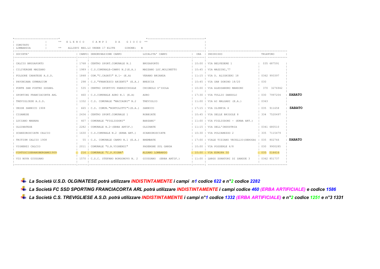| ----------------------------- |             |                |                                            |                        |     |                                                     |             |               |
|-------------------------------|-------------|----------------|--------------------------------------------|------------------------|-----|-----------------------------------------------------|-------------|---------------|
| COMITATO                      | E L E N C O |                | CAMPI<br>DA GIOCO <sup>*</sup>             |                        |     |                                                     |             |               |
| LOMBARDIA<br>$**$             |             |                | GIRONE: B<br>ALLIEVI REG.LI UNDER 17 ELITE |                        |     |                                                     |             |               |
| SOCIETA'                      |             |                | CAMPO  DENOMINAZIONE CAMPO                 | LOCALITA' CAMPO        | ORA | INDIRIZZO                                           | TELEFONO    |               |
|                               |             |                |                                            |                        |     |                                                     |             |               |
| CALCIO BRUSAPORTO             |             |                | 1768   CENTRO SPORT.COMUNALE N.1           | BRUSAPORTO             |     | 10:00   VIA BELVEDERE 1                             | 035 687591  |               |
| CILIVERGHE MAZZANO            |             |                | 1989   C.S.COMUNALE-CAMPO N.2 (E.A.)       | MAZZANO LOC.MOLINETTO  |     | 10:45   VIA MAZZINI, 77                             |             |               |
| FOLGORE CARATESE A.S.D.       |             |                | 1848   COM. "C. CASATI" N. 1- (E.A)        | VERANO BRIANZA         |     | 11:15   VIA D. ALIGHIERI 18                         | 0362 993397 |               |
| PAVONIANA GYMNASIUM           |             |                | 298   C.S. "FRANCESCO ARIENTI" (E.A.)      | <b>BRESCIA</b>         |     | 10:45   VIA SAN DONINO 18/20                        | 0.30        |               |
| PONTE SAN PIETRO SSDARL       |             | 535            | CENTRO SPORTIVO PARROCCHIALE               | CHIGNOLO D'ISOLA       |     | 10:00   VIA ALESSANDRO MANZONI                      | 370 3276942 |               |
| SPORTING FRANCIACORTA ARL     |             |                | 460   C.S.COMUNALE ADRO N.1 (E.A)          | ADRO                   |     | 17:30   VIA TULLIO DANDOLO                          | 030 7997204 | <b>SABATO</b> |
| TREVIGLIESE A.S.D.            |             |                | 1332   C.S. COMUNALE "MACCAGNI" N.2        | TREVIGLIO              |     | $11:00$   VIA AI MALGARI (E.A.)                     | 0363        |               |
| UESSE SARNICO 1908            |             |                | 665   C.S. COMUN. "BORTOLOTTI"1(E.A.)      | SARNICO                |     | $17:15$   VIA OLIMPIA 4                             | 035 911658  | <b>SABATO</b> |
| CISANESE                      |             |                | 2436   CENTRO SPORT.COMUNALE 1             | ROBBTATE               |     | 10:45   VIA DELLE BRIGOLE 8                         | 334 7520497 |               |
| LUCIANO MANARA                |             | $407 \;   \;$  | COMUNALE "FIGLIODONI"                      | BARZANO'               |     | $11:00$   VIA FIGLIODONI - (ERBA ART.)              |             |               |
| OLGINATESE                    |             | 2282           | COMUNALE N.2-(ERBA ARTIF.)                 | OLGINATE               |     | 11:15   VIA DELL'INDUSTRIA                          | 0341 680510 |               |
| SCANZOROSCIATE CALCIO         |             |                | 1630   C.S.COMUNALE N.2 (ERBA ART.)        | SCANZOROSCIATE         |     | 10:30   VIA POLCAREZZO 2                            | 335 7115479 |               |
| TRITIUM CALCIO 1908           |             |                | 55   C.S. COMUNALE CAMPO N.1 (E.A.)        | <b>BREMBATE</b>        |     | 17:00   VIALE TIZIANO VECELLIO(DEROGA)   035 802766 |             | <b>SABATO</b> |
| VIGHENZI CALCIO               |             | $2011$ $\perp$ | COMUNALE "G.B.VIGHENZI"                    | PADENGHE SUL GARDA     |     | $10:00$   VIA POSSERLE $6/8$                        | 030 9900285 |               |
| VIRTUSCISERANOBERGAMO1909     |             |                | 216   COMUNALE "C.P.PIGNA"                 | ALZANO LOMBARDO        |     | 10:00   VIA EUROPA 50                               | 10355516416 |               |
| VIS NOVA GIUSSANO             |             |                | 1570   C.S.C. STEFANO BORGONOVO N. 2       | GIUSSANO (ERBA ARTIF.) |     | 11:00   LARGO DONATORI DI SANGUE 3                  | 0362 851737 |               |
|                               |             |                |                                            |                        |     |                                                     |             |               |

*La Società U.S.D. OLGINATESE potrà utilizzare INDISTINTAMENTE i campi n1 codice 622 e n°2 codice 2282 La Società FC SSD SPORTING FRANCIACORTA ARL potrà utilizzare INDISTINTAMENTE i campi codice 460 (ERBA ARTIFICIALE) e codice 1586 La Società C.S. TREVIGLIESE A.S.D. potrà utilizzare INDISTINTAMENTE i campi n°1 codice 1332 (ERBA ARTIFICIALE) e n°2 codice 1251 e n°3 1331*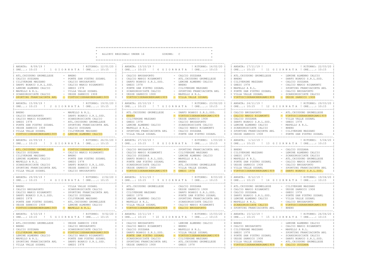- -

 $\omega$  $\star$ 

ALLIEVI REGIONALI UNDER 16 GIRONE: C

|                                                                                                                                                                                                                                                                                                                                                                                                                                                                                                              | ------------------------------                                                                                                                                                                                                                                                                                                                                                                                                                                                                                                                                                                           | ______________________                                                                                                                                                                                                                                                                                                                                                                                                             |
|--------------------------------------------------------------------------------------------------------------------------------------------------------------------------------------------------------------------------------------------------------------------------------------------------------------------------------------------------------------------------------------------------------------------------------------------------------------------------------------------------------------|----------------------------------------------------------------------------------------------------------------------------------------------------------------------------------------------------------------------------------------------------------------------------------------------------------------------------------------------------------------------------------------------------------------------------------------------------------------------------------------------------------------------------------------------------------------------------------------------------------|------------------------------------------------------------------------------------------------------------------------------------------------------------------------------------------------------------------------------------------------------------------------------------------------------------------------------------------------------------------------------------------------------------------------------------|
| ! RITORNO: 12/01/20 I I ANDATA: 13/10/19 !<br>I ANDATA: 8/09/19 !                                                                                                                                                                                                                                                                                                                                                                                                                                            | ! RITORNO: 16/02/20 I<br>IORE: 10:15 ! 1 GIORNATA ! ORE: 10:15 I IORE: 10:15 ! 6 GIORNATA ! ORE: 10:15 I                                                                                                                                                                                                                                                                                                                                                                                                                                                                                                 | I ANDATA: 17/11/19 !<br>! RITORNO: 22/03/20 I<br>I ORE: 10:15 ! 11 G I ORNATA ! ORE: 10:15                                                                                                                                                                                                                                                                                                                                         |
| <b>BRENO</b><br>I ATL. CHIUDUNO GRUMELLESE<br>PONTE SAN PIETRO SSDARL<br>I CALCIO SUZZARA<br>$\mathbb{I}$<br>I CILIVERGHE MAZZANO<br>CALCIO BRUSAPORTO<br>T<br>I DARFO BOARIO S.R.L.SSD.<br>CALCIO MARIO RIGAMONTI<br>$\top$<br>I LEMINE ALMENNO CALCIO<br>GHEDI 1978<br>$\mathsf{T}$<br>I MAPELLO A R.L.<br>VILLA VALLE SSDARL<br>I SCANZOROSCIATE CALCIO<br>- UESSE SARNICO 1908<br>$\mathbb{I}$<br>- VIRTUSCISERANOBERGAMO1909<br>I SPORTING FRANCIACORTA ARL                                             | $\mathbb{I}$<br>CALCIO BRUSAPORTO<br>- CALCIO SUZZARA<br>$\mathbb{I}$<br>CALCIO MARIO RIGAMONTI<br>- ATL. CHIUDUNO GRUMELLESE<br>$\mathbb{I}$<br>DARFO BOARIO S.R.L.SSD.<br>- LEMINE ALMENNO CALCIO<br>T<br>T<br><b>BRENO</b><br>$\mathbb{I}$<br>GHEDI 1978<br>T<br>PONTE SAN PIETRO SSDARL<br>CILIVERGHE MAZZANO<br>$\mathbb{I}$<br>$\mathbb{I}$<br>$\sim$<br>$\mathbb{I}$<br>SCANZOROSCIATE CALCIO<br>$\sim$<br>SPORTING FRANCIACORTA ARL<br>$\mathbb{I}$<br>UESSE SARNICO 1908<br>- MAPELLO A R.L.<br>$\mathbb{I}$<br>$\mathbf{I}$<br>I I VIRTUSCISERANOBERGAMO1909<br>- VILLA VALLE SSDARL<br>T      | I ATL. CHIUDUNO GRUMELLESE<br>- LEMINE ALMENNO CALCIO<br>I BRENO<br>- DARFO BOARIO S.R.L.SSD.<br>I CILIVERGHE MAZZANO<br>- CALCIO SUZZARA<br>I GHEDI 1978<br>CALCIO MARIO RIGAMONTI<br>I MAPELLO A R.L.<br>- SPORTING FRANCIACORTA ARL<br>I PONTE SAN PIETRO SSDARL<br>- CALCIO BRUSAPORTO<br>I VILLA VALLE SSDARL<br>- SCANZOROSCIATE CALCIO<br>- UESSE SARNICO 1908<br>I VIRTUSCISERANOBERGAMO1909                               |
| I ANDATA: 15/09/19 !<br>! 2 GIORNATA ! ORE: 10:15<br>$\mathbb{I}$<br>T ORE: 10:15                                                                                                                                                                                                                                                                                                                                                                                                                            | ! RITORNO: 19/01/20 I I ANDATA: 20/10/19 !<br>! RITORNO: 23/02/20 I I ANDATA: 24/11/19 !<br>I ORE: 10:15<br>! 7 GIORNATA ! ORE: 10:15<br>$\mathbf{I}$                                                                                                                                                                                                                                                                                                                                                                                                                                                    | ! RITORNO: 29/03/20 I<br>I ORE: 10:15 ! 12 G I ORNATA ! ORE: 10:15                                                                                                                                                                                                                                                                                                                                                                 |
| I BRENO<br>- MAPELLO A R.L.<br>I CALCIO BRUSAPORTO<br>DARFO BOARIO S.R.L.SSD.<br>$\mathbb{I}$<br>I CALCIO MARIO RIGAMONTI<br>$\top$<br>SCANZOROSCIATE CALCIO<br>I GHEDI 1978<br>ATL. CHIUDUNO GRUMELLESE<br>$\mathsf{T}$<br>I PONTE SAN PIETRO SSDARL<br>T<br>SPORTING FRANCIACORTA ARL<br>I UESSE SARNICO 1908<br>CALCIO SUZZARA<br>$\mathsf{T}$<br>I VILLA VALLE SSDARL<br>CILIVERGHE MAZZANO<br>$\mathbb{I}$<br>I VIRTUSCISERANOBERGAMO1909<br>LEMINE ALMENNO CALCIO                                      | I ATL. CHIUDUNO GRUMELLESE<br>- DARFO BOARIO S.R.L.SSD.<br>$\top$<br><b>BRENO</b><br>VIRTUSCISERANOBERGAMO1909<br>$\mathbb{I}$<br>$\mathbb{I}$<br>T<br>CILIVERGHE MAZZANO<br>UESSE SARNICO 1908<br>$\top$<br>T<br>GHEDI 1978<br>CALCIO BRUSAPORTO<br>T<br>T<br>LEMINE ALMENNO CALCIO<br>SCANZOROSCIATE CALCIO<br>T<br>I MAPELLO A R.L.<br>CALCIO MARIO RIGAMONTI<br>$\mathbf{I}$<br>SPORTING FRANCIACORTA ARL<br>$\mathbb{I}$<br>CALCIO SUZZARA<br>$\mathbf{I}$<br>I VILLA VALLE SSDARL<br>- PONTE SAN PIETRO SSDARL<br>$\mathbb{I}$                                                                     | I CALCIO BRUSAPORTO<br>- ATL. CHIUDUNO GRUMELLESE<br>I CALCIO MARIO RIGAMONTI<br>- VIRTUSCISERANOBERGAMO1909<br>I CALCIO SUZZARA<br>VILLA VALLE SSDARL<br>$-$ GHEDI 1978<br>I DARFO BOARIO S.R.L.SSD.<br>I LEMINE ALMENNO CALCIO<br>- MAPELLO A R.L.<br>$-$ BRENO<br>I SCANZOROSCIATE CALCIO<br>I SPORTING FRANCIACORTA ARL<br>- CILIVERGHE MAZZANO<br>I UESSE SARNICO 1908<br>- PONTE SAN PIETRO SSDARL                           |
| ! RITORNO: 26/01/20 I<br>I ANDATA: 22/09/19 !<br>$\mathbb{I}$<br>I ORE: 10:15 ! 3 G I O R N A T A ! ORE: 10:15                                                                                                                                                                                                                                                                                                                                                                                               | I ANDATA: 27/10/19 !<br>! RITORNO: 1/03/20 I<br>I ORE: 10:15 ! 8 G I O R N A T A ! ORE: 10:15<br>$\mathbb{I}$                                                                                                                                                                                                                                                                                                                                                                                                                                                                                            | I ANDATA: 1/12/19 !<br>! RITORNO: 5/04/20 I<br>I ORE: 10:15 ! 13 G I ORNATA ! ORE: 10:15                                                                                                                                                                                                                                                                                                                                           |
| I ATL. CHIUDUNO GRUMELLESE<br>- VIRTUSCISERANOBERGAMO1909<br>I CALCIO SUZZARA<br>CALCIO MARIO RIGAMONTI<br>$\mathbb{I}$<br>I CILIVERGHE MAZZANO<br><b>BRENO</b><br>$\sim$<br>T<br>I LEMINE ALMENNO CALCIO<br>PONTE SAN PIETRO SSDARL<br>I MAPELLO A R.L.<br>GHEDI 1978<br>DARFO BOARIO S.R.L.SSD.<br>I SCANZOROSCIATE CALCIO<br>$\mathsf{T}$<br>I SPORTING FRANCIACORTA ARL<br>- UESSE SARNICO 1908<br>I VILLA VALLE SSDARL<br>- CALCIO BRUSAPORTO                                                           | I CALCIO BRUSAPORTO<br>- SPORTING FRANCIACORTA ARL<br>T<br>$\mathbb{I}$<br>CALCIO MARIO RIGAMONTI<br>$\mathbb{I}$<br>CILIVERGHE MAZZANO<br>T<br>CALCIO SUZZARA<br>LEMINE ALMENNO CALCIO<br>$\mathbb{I}$<br>T<br>DARFO BOARIO S.R.L.SSD.<br>MAPELLO A R.L.<br>T<br><b>BRENO</b><br>$\mathbb{I}$<br>PONTE SAN PIETRO SSDARL<br>T<br>SCANZOROSCIATE CALCIO<br>- ATL. CHIUDUNO GRUMELLESE<br>T<br>$\mathbb{I}$<br>UESSE SARNICO 1908<br>- VILLA VALLE SSDARL<br>$\mathbb{I}$<br>$-$ GHEDI 1978<br>VIRTUSCISERANOBERGAMO1909<br>T                                                                             | - CALCIO SUZZARA<br>I BRENO<br>I CILIVERGHE MAZZANO<br>LEMINE ALMENNO CALCIO<br>I GHEDI 1978<br>SCANZOROSCIATE CALCIO<br>I MAPELLO A R.L.<br>ATL. CHIUDUNO GRUMELLESE<br>I PONTE SAN PIETRO SSDARL<br>- CALCIO MARIO RIGAMONTI<br>I UESSE SARNICO 1908<br>- CALCIO BRUSAPORTO<br>I VILLA VALLE SSDARL<br>- SPORTING FRANCIACORTA ARL<br>I VIRTUSCISERANOBERGAMO1909<br>- DARFO BOARIO S.R.L.SSD.<br>______________________________ |
| ! RITORNO: 2/02/20 I I ANDATA: 3/11/19 !<br>I ANDATA: 29/09/19 !<br>I ORE: 10:15 ! 4 G I O R N A T A ! ORE: 10:15                                                                                                                                                                                                                                                                                                                                                                                            | ! RITORNO: 8/03/20 I<br>I I ORE: 10:15 ! 9 G I O R N A T A ! ORE: 10:15 I                                                                                                                                                                                                                                                                                                                                                                                                                                                                                                                                | I ANDATA: 8/12/19 !<br>! RITORNO: 19/04/20 I<br>I ORE: 10:15 ! 14 G I ORNATA ! ORE: 10:15                                                                                                                                                                                                                                                                                                                                          |
| - VILLA VALLE SSDARL<br>I BRENO<br>I CALCIO BRUSAPORTO<br>- SCANZOROSCIATE CALCIO<br>$\mathbb{I}$<br>T<br>I CALCIO MARIO RIGAMONTI<br>- SPORTING FRANCIACORTA ARL<br>I DARFO BOARIO S.R.L.SSD.<br>- CALCIO SUZZARA<br>I GHEDI 1978<br>CILIVERGHE MAZZANO<br>$\mathbb{I}$<br>ATL. CHIUDUNO GRUMELLESE<br>I PONTE SAN PIETRO SSDARL<br>- LEMINE ALMENNO CALCIO<br>I UESSE SARNICO 1908<br>$\top$<br>- MAPELLO A R.L.<br>I VIRTUSCISERANOBERGAMO1909<br>_____________________________                           | I ATL. CHIUDUNO GRUMELLESE<br>T<br>- CALCIO SUZZARA<br>$\mathbb{I}$<br><b>BRENO</b><br>$\sim$<br>UESSE SARNICO 1908<br>$\mathbf{I}$<br>$\mathbb{I}$<br>CILIVERGHE MAZZANO<br>DARFO BOARIO S.R.L.SSD.<br>T<br>$\mathbb{I}$<br>GHEDI 1978<br>PONTE SAN PIETRO SSDARL<br>$\mathbb{I}$<br>LEMINE ALMENNO CALCIO<br>SPORTING FRANCIACORTA ARL<br>$\mathbb{I}$<br>$\mathbb{I}$<br>$\mathbb{I}$<br>MAPELLO A R.L.<br>$\mathbf{I}$<br>SCANZOROSCIATE CALCIO<br>VILLA VALLE SSDARL<br>$\sim$<br>CALCIO MARIO RIGAMONTI<br>$\mathbf{I}$<br>$\mathbb{I}$<br>- CALCIO BRUSAPORTO<br>I VIRTUSCISERANOBERGAMO1909<br>T | I ATL. CHIUDUNO GRUMELLESE<br>- CILIVERGHE MAZZANO<br>I CALCIO MARIO RIGAMONTI<br>- UESSE SARNICO 1908<br>I CALCIO SUZZARA<br>$-$ GHEDI 1978<br>I DARFO BOARIO S.R.L.SSD.<br>- PONTE SAN PIETRO SSDARL<br>I LEMINE ALMENNO CALCIO<br>- VILLA VALLE SSDARL<br>I MAPELLO A R.L.<br>- CALCIO BRUSAPORTO<br>- VIRTUSCISERANOBERGAMO1909<br>I SCANZOROSCIATE CALCIO<br>I SPORTING FRANCIACORTA ARL<br>- BRENO                           |
| ! RITORNO: 9/02/20 I<br>I ANDATA: 6/10/19 !<br>T ORE: 10:15<br>! 5 GIORNATA ! ORE: 10:15<br>T                                                                                                                                                                                                                                                                                                                                                                                                                | ! RITORNO: 15/03/20 I I ANDATA: 15/12/19 !<br>I ANDATA: 10/11/19 !<br>I ORE: 10:15 ! 10 G I O R N A T A ! ORE: 10:15<br>T                                                                                                                                                                                                                                                                                                                                                                                                                                                                                | ! RITORNO: 26/04/20 I<br>I ORE: 10:15 ! 15 G I OR N A T A ! ORE: 10:15                                                                                                                                                                                                                                                                                                                                                             |
| I ATL. CHIUDUNO GRUMELLESE<br>- UESSE SARNICO 1908<br>I BRENO<br>CALCIO BRUSAPORTO<br>$\mathbb{I}$<br>I CALCIO SUZZARA<br>SCANZOROSCIATE CALCIO<br>$\top$<br>I CILIVERGHE MAZZANO<br>VIRTUSCISERANOBERGAMO1909<br>$\mathbb{I}$<br>I LEMINE ALMENNO CALCIO<br>CALCIO MARIO RIGAMONTI<br>$\mathbb{I}$<br>I MAPELLO A R.L.<br>PONTE SAN PIETRO SSDARL<br>$\mathbb{I}$<br>I SPORTING FRANCIACORTA ARL<br>DARFO BOARIO S.R.L.SSD.<br>$\top$<br>I VILLA VALLE SSDARL<br>$-$ GHEDI 1978<br>I----------------------- | - LEMINE ALMENNO CALCIO<br>CALCIO BRUSAPORTO<br><b>BRENO</b><br>$\mathbb{I}$<br>CALCIO MARIO RIGAMONTI<br>T<br>T<br>CALCIO SUZZARA<br>MAPELLO A R.L.<br>$\mathbb{I}$<br>$\mathbb{I}$<br>DARFO BOARIO S.R.L.SSD.<br>VILLA VALLE SSDARL<br>VIRTUSCISERANOBERGAMO1909<br>$\mathbb{I}$<br>PONTE SAN PIETRO SSDARL<br>$\mathbb{I}$<br>SCANZOROSCIATE CALCIO<br>CILIVERGHE MAZZANO<br>$\mathbb{I}$<br>T<br>$\mathbb{I}$<br>SPORTING FRANCIACORTA ARL<br>ATL. CHIUDUNO GRUMELLESE<br>$\mathbf{I}$<br>$-$ GHEDI 1978<br>I I UESSE SARNICO 1908<br>$\mathbb{I}$<br>I------------------                            | I BRENO<br>- LEMINE ALMENNO CALCIO<br>- CALCIO MARIO RIGAMONTI<br>I CALCIO BRUSAPORTO<br>I CILIVERGHE MAZZANO<br>- MAPELLO A R.L.<br>I GHEDI 1978<br>- SPORTING FRANCIACORTA ARL<br>I PONTE SAN PIETRO SSDARL<br>- SCANZOROSCIATE CALCIO<br>I UESSE SARNICO 1908<br>DARFO BOARIO S.R.L.SSD.<br>I VILLA VALLE SSDARL<br>- ATL. CHIUDUNO GRUMELLESE<br>I VIRTUSCISERANOBERGAMO1909<br>- CALCIO SUZZARA<br>T-------------------       |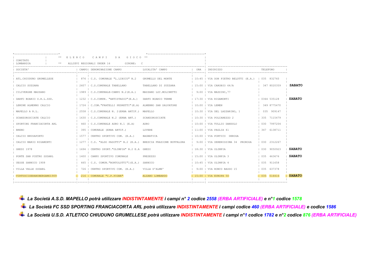| COMITATO                        |                                       | ELENCO |                | CAMPT<br>DA –<br>G T O C O                                       |                        |  |                                                    |                 |  |               |
|---------------------------------|---------------------------------------|--------|----------------|------------------------------------------------------------------|------------------------|--|----------------------------------------------------|-----------------|--|---------------|
| LOMBARDIA                       | GIRONE:<br>ALLIEVI REGIONALI UNDER 16 |        |                |                                                                  |                        |  |                                                    |                 |  |               |
| <b>SOCIETA</b><br>------------- |                                       |        |                | DENOMINAZIONE CAMPO                                              | LOCALITA' CAMPO        |  | TNDTRTZZO                                          | <b>TELEFONO</b> |  |               |
| ATL. CHIUDUNO GRUMELLESE        |                                       |        |                | 876   C.S. COMUNALE "L.LIBICO" N.2                               | GRUMELLO DEL MONTE     |  | 10:45   VIA DON PIETRO BELOTTI (E.A.)   035 832760 |                 |  |               |
| CALCIO SUZZARA                  |                                       |        |                | 2607   C.S.COMUNALE TABELLANO                                    | TABELLANO DI SUZZARA   |  | 15:00   VIA CAROBIO 64/A                           | 347 8020359     |  | <b>SABATO</b> |
| CILIVERGHE MAZZANO              |                                       |        |                | 1989   C.S.COMUNALE-CAMPO N.2(E.A.)                              | MAZZANO LOC. MOLINETTO |  | 9:00   VIA MAZZINI, 77                             |                 |  |               |
| DARFO BOARIO S.R.L.SSD.         |                                       |        |                | 1232   C.S.COMUN. "ANTISTADIO" (E.A.)                            | DARFO BOARIO TERME     |  | 17:30   VIA RIGAMONTI                              | 0364 535128     |  | <b>SABATO</b> |
| LEMINE ALMENNO CALCIO           |                                       |        |                | 1724   C.COM. "FRATELLI PEDRETTI" (E.A) ALMENNO SAN SALVATORE    |                        |  | $10:00$   VIA LEMEN                                | 349 8775470     |  |               |
| MAPELLO A R.L.                  |                                       |        |                | 2558   C.S.COMUNALE N. 2 (ERBA ARTIF.) MAPELLO                   |                        |  | 10:30   VIA DEL LAZZARINO, 1                       | 035 909147      |  |               |
| SCANZOROSCIATE CALCIO           |                                       |        |                | 1630   C.S.COMUNALE N.2 (ERBA ART.)                              | SCANZOROSCIATE         |  | 10:30   VIA POLCAREZZO 2                           | 335 7115479     |  |               |
| SPORTING FRANCIACORTA ARL       |                                       |        |                | 460   C.S.COMUNALE ADRO N.1 (E.A)                                | ADRO                   |  | 10:00   VIA TULLIO DANDOLO                         | 030 7997204     |  |               |
| <b>BRENO</b>                    |                                       |        | $395 \text{ }$ | COMUNALE (ERBA ARTIF.)                                           | LOVERE                 |  | 11:00   VIA PAGLIA 41                              | 347 6138711     |  |               |
| CALCIO BRUSAPORTO               |                                       |        |                | 1577   CENTRO SPORTIVO COM. (E.A.)                               | BAGNATICA              |  | 10:00   VIA PORTICO DEROGA                         |                 |  |               |
| CALCIO MARIO RIGAMONTI          |                                       |        |                | 1277   C.S. "ALDO PASOTTI" N.2 (E.A.) BRESCIA FRAZIONE BUFFALORA |                        |  | 9:00   VIA SERENISSIMA 34 PROROGA                  | 030 2312267     |  |               |
| GHEDI 1978                      |                                       |        |                | 1694   CENTRO SPORT. "OLIMPIA" N.2 E.A GHEDI                     |                        |  | 18:30   VIA OLIMPIA                                | 030 9050923     |  | <b>SABATO</b> |
| PONTE SAN PIETRO SSDARL         |                                       |        |                | 1400   CAMPO SPORTIVO COMUNALE                                   | PRESEZZO               |  | 15:00   VIA OLIMPIA 3                              | 035 463676      |  | <b>SABATO</b> |
| UESSE SARNICO 1908              |                                       |        |                | 665   C.S. COMUN. "BORTOLOTTI"1 (E.A.) SARNICO                   |                        |  | 10:45   VIA OLIMPIA 4                              | 035 911658      |  |               |
| VILLA VALLE SSDARL              |                                       |        |                | 726   CENTRO SPORTIVO COM. (E.A.)                                | VILLA D'ALME'          |  | 9:00   VIA RONCO BASSO 15                          | 0.35 6.37378    |  |               |
| VIRTUSCISERANOBERGAMO1909       |                                       |        |                | 216   COMUNALE "C.P.PIGNA"                                       | ALZANO LOMBARDO        |  | 15:00   VIA EUROPA 50                              | 035 516416      |  | <b>SABATO</b> |
|                                 |                                       |        |                |                                                                  |                        |  |                                                    |                 |  |               |

*La Società A.S.D. MAPELLO potrà utilizzare INDISTINTAMENTE i campi n° 2 codice 2558 (ERBA ARTIFICIALE) e n°1 codice 1578 La Società FC SSD SPORTING FRANCIACORTA ARL potrà utilizzare INDISTINTAMENTE i campi codice 460 (ERBA ARTIFICIALE) e codice 1586 La Società U.S.D. ATLETICO CHIUDUNO GRUMELLESE potrà utilizzare INDISTINTAMENTE i campi n°1 codice 1782 e n°2 codice 876 (ERBA ARTIFICIALE)*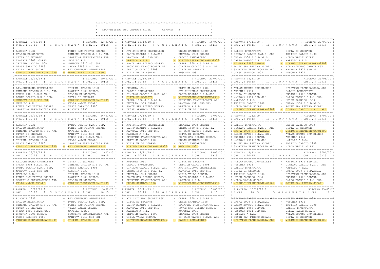k.

\* GIOVANISSIMI REG.UNDER15 ELITE GIRONE: B

 $\ddot{\phantom{1}}$ 

| ! RITORNO: 12/01/20 I<br>I ANDATA: 8/09/19 !<br>IORE: 10:15 !! GIORNATA ! ORE: 10:15                                                                                                                                                                                                                                                                                                                                                           | I ANDATA: 13/10/19 !<br>! RITORNO: 16/02/20 I<br>I ORE: 10:15 ! 6 G I O R N A T A ! ORE: 10:15<br>T                                                                                                                                                                                                                                                                                                                                                                                                                                                                                         | I ANDATA: 17/11/19 !<br>! RITORNO: 22/03/20 I<br>I ORE: 10:15 ! 11 G I O R N A T A ! ORE: 10:15                                                                                                                                                                                                                                                                                                                                                                 |
|------------------------------------------------------------------------------------------------------------------------------------------------------------------------------------------------------------------------------------------------------------------------------------------------------------------------------------------------------------------------------------------------------------------------------------------------|---------------------------------------------------------------------------------------------------------------------------------------------------------------------------------------------------------------------------------------------------------------------------------------------------------------------------------------------------------------------------------------------------------------------------------------------------------------------------------------------------------------------------------------------------------------------------------------------|-----------------------------------------------------------------------------------------------------------------------------------------------------------------------------------------------------------------------------------------------------------------------------------------------------------------------------------------------------------------------------------------------------------------------------------------------------------------|
| I AUSONIA 1931<br>PONTE SAN PIETRO SSDARL<br>I CALCIO BRUSAPORTO<br>- CIMIANO CALCIO S.S.D. ARL<br>I CITTA DI SEGRATE<br>- SPORTING FRANCIACORTA ARL<br>MAPELLO A R.L.<br>I ENOTRIA 1908 SSDARL<br>TRITIUM CALCIO 1908<br>MANTOVA 1911 SSD SRL<br>I UESSE SARNICO 1908<br>CREMA 1908 S.S.D.AR.L.<br>ATL. CHIUDUNO GRUMELLESE<br>I VILLA VALLE SSDARL<br>I VIRTUSCISERANOBERGAMO1909<br>DARFO BOARIO S.R.L.SSD.                                 | UESSE SARNICO 1908<br>ATL. CHIUDUNO GRUMELLESE<br>T<br>DARFO BOARIO S.R.L.SSD.<br>ENOTRIA 1908 SSDARL<br>$\top$<br>$\sim$ $-$<br>T<br>MANTOVA 1911 SSD SRL<br>CALCIO BRUSAPORTO<br>$\mathbb{I}$<br>T<br>MAPELLO A R.L.<br>VIRTUSCISERANOBERGAMO1909<br>T<br>PONTE SAN PIETRO SSDARL<br>CREMA 1908 S.S.D.AR.L.<br>$\mathbb{I}$<br>$\mathbb{I}$<br>T<br>$\mathbb{I}$<br>SPORTING FRANCIACORTA ARL<br>CIMIANO CALCIO S.S.D. ARL<br>CITTA DI SEGRATE<br>TRITIUM CALCIO 1908<br>$\mathbb{I}$<br>$\mathbb{I}$<br>VILLA VALLE SSDARL<br>- AUSONIA 1931<br>$\top$<br>______________________________ | I CALCIO BRUSAPORTO<br>- CITTA DI SEGRATE<br>I CIMIANO CALCIO S.S.D. ARL<br>- TRITIUM CALCIO 1908<br>I CREMA 1908 S.S.D.AR.L.<br>- VILLA VALLE SSDARL<br>MAPELLO A R.L.<br>I DARFO BOARIO S.R.L.SSD.<br>- VIRTUSCISERANOBERGAMO1909<br>I ENOTRIA 1908 SSDARL<br>I PONTE SAN PIETRO SSDARL<br>- ATL. CHIUDUNO GRUMELLESE<br>- MANTOVA 1911 SSD SRL<br>I SPORTING FRANCIACORTA ARL<br>I UESSE SARNICO 1908<br>- AUSONIA 1931<br>.<br>__________________________   |
| I ANDATA: 15/09/19 !<br>! RITORNO: 19/01/20 I<br>I ORE: 10:15 ! 2 G I O R N A T A ! ORE: 10:15                                                                                                                                                                                                                                                                                                                                                 | I ANDATA: 20/10/19 !<br>! RITORNO: 23/02/20 I<br>I ORE: 10:15 ! 7 G I O R N A T A ! ORE: 10:15<br>T                                                                                                                                                                                                                                                                                                                                                                                                                                                                                         | I ANDATA: 24/11/19 !<br>! RITORNO: 29/03/20 I<br>I ORE: 10:15 ! 12 G I O R N A T A ! ORE: 10:15                                                                                                                                                                                                                                                                                                                                                                 |
| - TRITIUM CALCIO 1908<br>I ATL.CHIUDUNO GRUMELLESE<br>- ENOTRIA 1908 SSDARL<br>I CIMIANO CALCIO S.S.D. ARL<br>T<br>- CALCIO BRUSAPORTO<br>I CREMA 1908 S.S.D.AR.L.<br>I DARFO BOARIO S.R.L.SSD.<br>CITTA DI SEGRATE<br>I MANTOVA 1911 SSD SRL<br>VIRTUSCISERANOBERGAMO1909<br>- VILLA VALLE SSDARL<br>I MAPELLO A R.L.<br>- UESSE SARNICO 1908<br>I PONTE SAN PIETRO SSDARL<br>I SPORTING FRANCIACORTA ARL<br>- AUSONIA 1931<br>-------------- | T<br>I AUSONIA 1931<br>- TRITIUM CALCIO 1908<br>- ATL. CHIUDUNO GRUMELLESE<br>$\mathbb{I}$<br>I CALCIO BRUSAPORTO<br>T<br>CIMIANO CALCIO S.S.D. ARL<br>DARFO BOARIO S.R.L.SSD.<br>T<br>CITTA DI SEGRATE<br>VIRTUSCISERANOBERGAMO1909<br>T<br>T<br>CREMA 1908 S.S.D.AR.L.<br>SPORTING FRANCIACORTA ARL<br>$\mathbb{I}$<br>ENOTRIA 1908 SSDARL<br>MANTOVA 1911 SSD SRL<br>$\mathbb{I}$<br>T<br>PONTE SAN PIETRO SSDARL<br>MAPELLO A R.L.<br>T<br>UESSE SARNICO 1908<br>- VILLA VALLE SSDARL                                                                                                   | I ATL. CHIUDUNO GRUMELLESE<br>- SPORTING FRANCIACORTA ARL<br>I AUSONIA 1931<br>- CALCIO BRUSAPORTO<br>I CITTA DI SEGRATE<br>- ENOTRIA 1908 SSDARL<br>I I MANTOVA 1911 SSD SRL<br>- DARFO BOARIO S.R.L.SSD.<br>I MAPELLO A R.L.<br>UESSE SARNICO 1908<br>I TRITIUM CALCIO 1908<br>- CREMA 1908 S.S.D.AR.L.<br>I VILLA VALLE SSDARL<br>- PONTE SAN PIETRO SSDARL<br>I VIRTUSCISERANOBERGAMO1909<br>- CIMIANO CALCIO S.S.D. ARL<br>------------------------------- |
| ! RITORNO: 26/01/20 I<br>I ANDATA: 22/09/19<br>I ORE: 10:15 ! 3 G I O R N A T A ! ORE: 10:15<br>.<br>The contract contract contract contract to the set of the set of the set of the set of the set of the set of t                                                                                                                                                                                                                            | I ANDATA: 27/10/19 !<br>! RITORNO: 1/03/20 I<br>I IORE: 10:15 ! 8 GIORNATA ! ORE: 10:15 I IORE: 10:15 ! 13 GIORNATA ! ORE: 10:15<br>Tububu budu budu budu bu                                                                                                                                                                                                                                                                                                                                                                                                                                | I ANDATA: 1/12/19 !<br>! RITORNO: 5/04/20 I                                                                                                                                                                                                                                                                                                                                                                                                                     |
| I AUSONIA 1931<br>DARFO BOARIO S.R.L.SSD.<br>CALCIO BRUSAPORTO<br>- PONTE SAN PIETRO SSDARL<br>I CIMIANO CALCIO S.S.D. ARL<br>- MAPELLO A R.L.<br>I CITTA DI SEGRATE<br>- MANTOVA 1911 SSD SRL<br>- CREMA 1908 S.S.D.AR.L.<br>I ENOTRIA 1908 SSDARL<br>I TRITIUM CALCIO 1908<br>- VILLA VALLE SSDARL<br>I UESSE SARNICO 1908<br>- SPORTING FRANCIACORTA ARL<br>- ATL. CHIUDUNO GRUMELLESE<br><b>UIRTUSCISERANOBERGAMO1909</b>                  | - ENOTRIA 1908 SSDARL<br>ATL. CHIUDUNO GRUMELLESE<br>T<br>DARFO BOARIO S.R.L.SSD.<br>$\sim$<br>CREMA 1908 S.S.D.AR.L.<br>$\mathbb{I}$<br>T<br>MANTOVA 1911 SSD SRL<br>$\sim$ $-$<br>CIMIANO CALCIO S.S.D. ARL<br>T<br>MAPELLO A R.L.<br>CITTA DI SEGRATE<br>$\mathbb{I}$<br>$\mathbb{I}$<br>SPORTING FRANCIACORTA ARL<br>PONTE SAN PIETRO SSDARL<br>$\mathbf{I}$<br>T<br>T<br>TRITIUM CALCIO 1908<br>UESSE SARNICO 1908<br>T<br>I I VILLA VALLE SSDARL<br>- CALCIO BRUSAPORTO<br>$\mathbb{I}$<br>$-$ AUSONIA 1931<br>I VIRTUSCISERANOBERGAMO1909                                            | I I CALCIO BRUSAPORTO<br>- UESSE SARNICO 1908<br>I CIMIANO CALCIO S.S.D. ARL<br>- CITTA DI SEGRATE<br>- VIRTUSCISERANOBERGAM01909<br>I CREMA 1908 S.S.D.AR.L.<br>I DARFO BOARIO S.R.L.SSD.<br>- ATL. CHIUDUNO GRUMELLESE<br>I ENOTRIA 1908 SSDARL<br>- AUSONIA 1931<br>I MANTOVA 1911 SSD SRL<br>- MAPELLO A R.L.<br>I PONTE SAN PIETRO SSDARL<br>- TRITIUM CALCIO 1908<br>- VILLA VALLE SSDARL<br>I SPORTING FRANCIACORTA ARL                                  |
| I ANDATA: 29/09/19 !<br>! RITORNO: 2/02/20 I<br>IORE: 10:15 ! 4 GIORNATA ! ORE: 10:15                                                                                                                                                                                                                                                                                                                                                          | I ANDATA: 3/11/19 !<br>! RITORNO: 8/03/20 I<br>I ORE: 10:15 ! 9 G I O R N A T A ! ORE: 10:15 I                                                                                                                                                                                                                                                                                                                                                                                                                                                                                              | I ANDATA: 8/12/19 !<br>! RITORNO: 19/04/20 I<br>I ORE: 10:15 ! 14 G I O R N A T A ! ORE: 10:15                                                                                                                                                                                                                                                                                                                                                                  |
| - CITTA DI SEGRATE<br>I ATL. CHIUDUNO GRUMELLESE<br>- CIMIANO CALCIO S.S.D. ARL<br>I CREMA 1908 S.S.D.AR.L.<br>- UESSE SARNICO 1908<br>I DARFO BOARIO S.R.L.SSD.<br>- AUSONIA 1931<br>I MANTOVA 1911 SSD SRL<br>I MAPELLO A R.L.<br>- TRITIUM CALCIO 1908<br>- ENOTRIA 1908 SSDARL<br>I PONTE SAN PIETRO SSDARL<br>I SPORTING FRANCIACORTA ARL<br>CALCIO BRUSAPORTO<br>- VIRTUSCISERANOBERGAMO1909<br>I VILLA VALLE SSDARL                     | T<br>$\mathbb{I}$<br>AUSONIA 1931<br>- CITTA DI SEGRATE<br>T<br>CALCIO BRUSAPORTO<br>TRITIUM CALCIO 1908<br>$\mathbb{I}$<br>CIMIANO CALCIO S.S.D. ARL<br>ATL. CHIUDUNO GRUMELLESE<br>T<br>T<br>CREMA 1908 S.S.D.AR.L.<br>MANTOVA 1911 SSD SRL<br>$\mathbb{I}$<br>T<br>ENOTRIA 1908 SSDARL<br>VILLA VALLE SSDARL<br>T<br>PONTE SAN PIETRO SSDARL<br>DARFO BOARIO S.R.L.SSD.<br>$\mathbb{I}$<br>SPORTING FRANCIACORTA ARL<br>MAPELLO A R.L.<br>$\mathbb{I}$<br>- VIRTUSCISERANOBERGAMO1909<br>UESSE SARNICO 1908<br>T                                                                         | I ATL. CHIUDUNO GRUMELLESE<br>- MANTOVA 1911 SSD SRL<br>I AUSONIA 1931<br>- CIMIANO CALCIO S.S.D. ARL<br>I CALCIO BRUSAPORTO<br>- MAPELLO A R.L.<br>- CREMA 1908 S.S.D.AR.L.<br>I CITTA DI SEGRATE<br>I TRITIUM CALCIO 1908<br>SPORTING FRANCIACORTA ARL<br>I UESSE SARNICO 1908<br>ENOTRIA 1908 SSDARL<br>I VILLA VALLE SSDARL<br>- DARFO BOARIO S.R.L.SSD.<br>I VIRTUSCISERANOBERGAMO1909<br>- PONTE SAN PIETRO SSDARL                                        |
| I ANDATA: 6/10/19 !<br>! RITORNO: 9/02/20 I<br>I ORE: 10:15 ! 5 G I O R N A T A ! ORE: 10:15                                                                                                                                                                                                                                                                                                                                                   | ! RITORNO: 15/03/20 I<br>I ANDATA: 10/11/19 !<br>I ORE: 10:15 ! 10 G I ORNATA ! ORE: 10:15 I                                                                                                                                                                                                                                                                                                                                                                                                                                                                                                | . I ANDATA: 15/12/19 !<br>! RITORNO: 03/05/20<br>I I ORE: 10:15<br>! 15 GIORNATA ! ORE: 10:15<br>T                                                                                                                                                                                                                                                                                                                                                              |
| I AUSONIA 1931<br>- ATL. CHIUDUNO GRUMELLESE<br>I CALCIO BRUSAPORTO<br>- DARFO BOARIO S.R.L.SSD.<br>I CIMIANO CALCIO S.S.D. ARL<br>- PONTE SAN PIETRO SSDARL<br>I CITTA DI SEGRATE<br>- VILLA VALLE SSDARL<br>I CREMA 1908 S.S.D.AR.L.<br>- MAPELLO A R.L.<br>I ENOTRIA 1908 SSDARL<br>- SPORTING FRANCIACORTA ARL<br>I UESSE SARNICO 1908<br>MANTOVA 1911 SSD SRL<br>- TRITIUM CALCIO 1908<br>I VIRTUSCISERANOBERGAMO1909                     | I ATL. CHIUDUNO GRUMELLESE<br>- CREMA 1908 S.S.D.AR.L.<br>$\top$<br>CITTA DI SEGRATE<br>UESSE SARNICO 1908<br>T<br>T<br>T<br>DARFO BOARIO S.R.L.SSD.<br>SPORTING FRANCIACORTA ARL<br>$\mathbb{I}$<br>T<br>MANTOVA 1911 SSD SRL<br>PONTE SAN PIETRO SSDARL<br>$\mathbb{I}$<br>T<br>MAPELLO A R.L.<br>AUSONIA 1931<br>$\top$<br>TRITIUM CALCIO 1908<br>ENOTRIA 1908 SSDARL<br>$\mathbb{I}$<br>$\mathbf{I}$<br>T<br>VILLA VALLE SSDARL<br>CIMIANO CALCIO S.S.D. ARL<br>$\mathbb{I}$<br>I VIRTUSCISERANOBERGAMO1909<br>CALCIO BRUSAPORTO                                                        | I-CIMIANO-CALCIO-S-S-B--ARL-------UESSE-SARNICO-1908--<br>I CREMA 1908 S.S.D.AR.L.<br>- AUSONIA 1931<br>I DARFO BOARIO S.R.L.SSD.<br>- TRITIUM CALCIO 1908<br>I ENOTRIA 1908 SSDARL<br>- CALCIO BRUSAPORTO<br>I MANTOVA 1911 SSD SRL<br>- VILLA VALLE SSDARL<br>I MAPELLO A R.L.<br>ATL. CHIUDUNO GRUMELLESE<br>I PONTE SAN PIETRO SSDARL<br>CITTA DI SEGRATE<br>- VIRTUSCISERANOBERGAMO1909<br>I SPORTING FRANCIACORTA ARL                                     |

 $\mathbf{a}$ 

 $\ddot{\phantom{1}}$